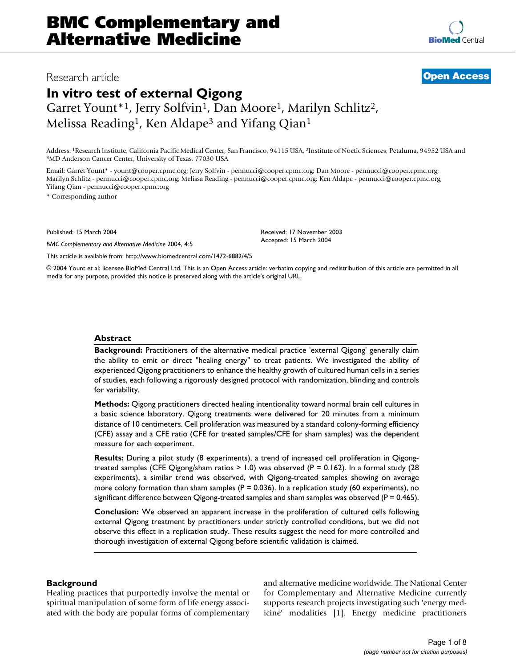# Research article **[Open Access](http://www.biomedcentral.com/info/about/charter/)**

**In vitro test of external Qigong**

Garret Yount\*1, Jerry Solfvin1, Dan Moore1, Marilyn Schlitz2, Melissa Reading<sup>1</sup>, Ken Aldape<sup>3</sup> and Yifang Qian<sup>1</sup>

Address: <sup>1</sup>Research Institute, California Pacific Medical Center, San Francisco, 94115 USA, <sup>2</sup>Institute of Noetic Sciences, Petaluma, 94952 USA and 3MD Anderson Cancer Center. University of Texas, 77030 USA

Email: Garret Yount\* - yount@cooper.cpmc.org; Jerry Solfvin - pennucci@cooper.cpmc.org; Dan Moore - pennucci@cooper.cpmc.org; Marilyn Schlitz - pennucci@cooper.cpmc.org; Melissa Reading - pennucci@cooper.cpmc.org; Ken Aldape - pennucci@cooper.cpmc.org; Yifang Qian - pennucci@cooper.cpmc.org

\* Corresponding author

Published: 15 March 2004

*BMC Complementary and Alternative Medicine* 2004, **4**:5

[This article is available from: http://www.biomedcentral.com/1472-6882/4/5](http://www.biomedcentral.com/1472-6882/4/5)

© 2004 Yount et al; licensee BioMed Central Ltd. This is an Open Access article: verbatim copying and redistribution of this article are permitted in all media for any purpose, provided this notice is preserved along with the article's original URL.

#### **Abstract**

**Background:** Practitioners of the alternative medical practice 'external Qigong' generally claim the ability to emit or direct "healing energy" to treat patients. We investigated the ability of experienced Qigong practitioners to enhance the healthy growth of cultured human cells in a series of studies, each following a rigorously designed protocol with randomization, blinding and controls for variability.

**Methods:** Qigong practitioners directed healing intentionality toward normal brain cell cultures in a basic science laboratory. Qigong treatments were delivered for 20 minutes from a minimum distance of 10 centimeters. Cell proliferation was measured by a standard colony-forming efficiency (CFE) assay and a CFE ratio (CFE for treated samples/CFE for sham samples) was the dependent measure for each experiment.

**Results:** During a pilot study (8 experiments), a trend of increased cell proliferation in Qigongtreated samples (CFE Qigong/sham ratios > 1.0) was observed (P = 0.162). In a formal study (28 experiments), a similar trend was observed, with Qigong-treated samples showing on average more colony formation than sham samples ( $P = 0.036$ ). In a replication study (60 experiments), no significant difference between Qigong-treated samples and sham samples was observed (P = 0.465).

**Conclusion:** We observed an apparent increase in the proliferation of cultured cells following external Qigong treatment by practitioners under strictly controlled conditions, but we did not observe this effect in a replication study. These results suggest the need for more controlled and thorough investigation of external Qigong before scientific validation is claimed.

# **Background**

Healing practices that purportedly involve the mental or spiritual manipulation of some form of life energy associated with the body are popular forms of complementary

and alternative medicine worldwide. The National Center for Complementary and Alternative Medicine currently supports research projects investigating such 'energy medicine' modalities [1]. Energy medicine practitioners



Received: 17 November 2003 Accepted: 15 March 2004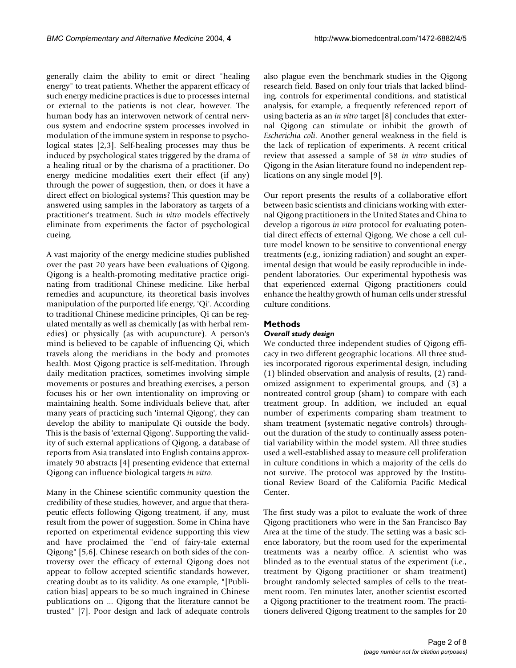generally claim the ability to emit or direct "healing energy" to treat patients. Whether the apparent efficacy of such energy medicine practices is due to processes internal or external to the patients is not clear, however. The human body has an interwoven network of central nervous system and endocrine system processes involved in modulation of the immune system in response to psychological states [2,3]. Self-healing processes may thus be induced by psychological states triggered by the drama of a healing ritual or by the charisma of a practitioner. Do energy medicine modalities exert their effect (if any) through the power of suggestion, then, or does it have a direct effect on biological systems? This question may be answered using samples in the laboratory as targets of a practitioner's treatment. Such *in vitro* models effectively eliminate from experiments the factor of psychological cueing.

A vast majority of the energy medicine studies published over the past 20 years have been evaluations of Qigong. Qigong is a health-promoting meditative practice originating from traditional Chinese medicine. Like herbal remedies and acupuncture, its theoretical basis involves manipulation of the purported life energy, 'Qi'. According to traditional Chinese medicine principles, Qi can be regulated mentally as well as chemically (as with herbal remedies) or physically (as with acupuncture). A person's mind is believed to be capable of influencing Qi, which travels along the meridians in the body and promotes health. Most Qigong practice is self-meditation. Through daily meditation practices, sometimes involving simple movements or postures and breathing exercises, a person focuses his or her own intentionality on improving or maintaining health. Some individuals believe that, after many years of practicing such 'internal Qigong', they can develop the ability to manipulate Qi outside the body. This is the basis of 'external Qigong'. Supporting the validity of such external applications of Qigong, a database of reports from Asia translated into English contains approximately 90 abstracts [4] presenting evidence that external Qigong can influence biological targets *in vitro*.

Many in the Chinese scientific community question the credibility of these studies, however, and argue that therapeutic effects following Qigong treatment, if any, must result from the power of suggestion. Some in China have reported on experimental evidence supporting this view and have proclaimed the "end of fairy-tale external Qigong" [5,6]. Chinese research on both sides of the controversy over the efficacy of external Qigong does not appear to follow accepted scientific standards however, creating doubt as to its validity. As one example, "[Publication bias] appears to be so much ingrained in Chinese publications on ... Qigong that the literature cannot be trusted" [7]. Poor design and lack of adequate controls also plague even the benchmark studies in the Qigong research field. Based on only four trials that lacked blinding, controls for experimental conditions, and statistical analysis, for example, a frequently referenced report of using bacteria as an *in vitro* target [8] concludes that external Qigong can stimulate or inhibit the growth of *Escherichia coli*. Another general weakness in the field is the lack of replication of experiments. A recent critical review that assessed a sample of 58 *in vitro* studies of Qigong in the Asian literature found no independent replications on any single model [9].

Our report presents the results of a collaborative effort between basic scientists and clinicians working with external Qigong practitioners in the United States and China to develop a rigorous *in vitro* protocol for evaluating potential direct effects of external Qigong. We chose a cell culture model known to be sensitive to conventional energy treatments (e.g., ionizing radiation) and sought an experimental design that would be easily reproducible in independent laboratories. Our experimental hypothesis was that experienced external Qigong practitioners could enhance the healthy growth of human cells under stressful culture conditions.

# **Methods**

### *Overall study design*

We conducted three independent studies of Qigong efficacy in two different geographic locations. All three studies incorporated rigorous experimental design, including (1) blinded observation and analysis of results, (2) randomized assignment to experimental groups, and (3) a nontreated control group (sham) to compare with each treatment group. In addition, we included an equal number of experiments comparing sham treatment to sham treatment (systematic negative controls) throughout the duration of the study to continually assess potential variability within the model system. All three studies used a well-established assay to measure cell proliferation in culture conditions in which a majority of the cells do not survive. The protocol was approved by the Institutional Review Board of the California Pacific Medical Center.

The first study was a pilot to evaluate the work of three Qigong practitioners who were in the San Francisco Bay Area at the time of the study. The setting was a basic science laboratory, but the room used for the experimental treatments was a nearby office. A scientist who was blinded as to the eventual status of the experiment (i.e., treatment by Qigong practitioner or sham treatment) brought randomly selected samples of cells to the treatment room. Ten minutes later, another scientist escorted a Qigong practitioner to the treatment room. The practitioners delivered Qigong treatment to the samples for 20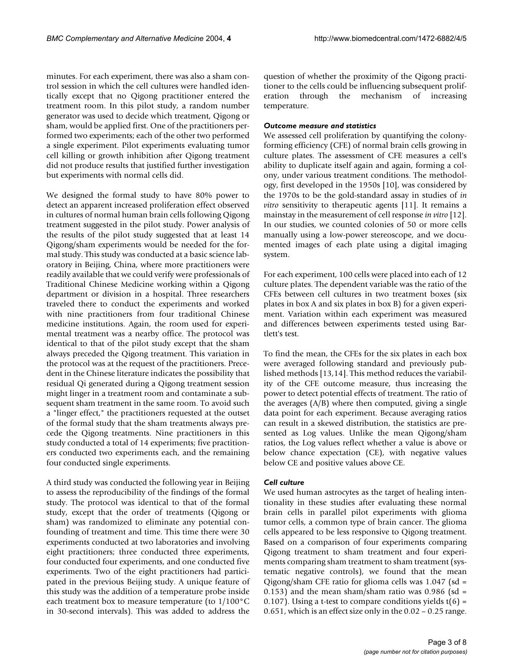minutes. For each experiment, there was also a sham control session in which the cell cultures were handled identically except that no Qigong practitioner entered the treatment room. In this pilot study, a random number generator was used to decide which treatment, Qigong or sham, would be applied first. One of the practitioners performed two experiments; each of the other two performed a single experiment. Pilot experiments evaluating tumor cell killing or growth inhibition after Qigong treatment did not produce results that justified further investigation but experiments with normal cells did.

We designed the formal study to have 80% power to detect an apparent increased proliferation effect observed in cultures of normal human brain cells following Qigong treatment suggested in the pilot study. Power analysis of the results of the pilot study suggested that at least 14 Qigong/sham experiments would be needed for the formal study. This study was conducted at a basic science laboratory in Beijing, China, where more practitioners were readily available that we could verify were professionals of Traditional Chinese Medicine working within a Qigong department or division in a hospital. Three researchers traveled there to conduct the experiments and worked with nine practitioners from four traditional Chinese medicine institutions. Again, the room used for experimental treatment was a nearby office. The protocol was identical to that of the pilot study except that the sham always preceded the Qigong treatment. This variation in the protocol was at the request of the practitioners. Precedent in the Chinese literature indicates the possibility that residual Qi generated during a Qigong treatment session might linger in a treatment room and contaminate a subsequent sham treatment in the same room. To avoid such a "linger effect," the practitioners requested at the outset of the formal study that the sham treatments always precede the Qigong treatments. Nine practitioners in this study conducted a total of 14 experiments; five practitioners conducted two experiments each, and the remaining four conducted single experiments.

A third study was conducted the following year in Beijing to assess the reproducibility of the findings of the formal study. The protocol was identical to that of the formal study, except that the order of treatments (Qigong or sham) was randomized to eliminate any potential confounding of treatment and time. This time there were 30 experiments conducted at two laboratories and involving eight practitioners; three conducted three experiments, four conducted four experiments, and one conducted five experiments. Two of the eight practitioners had participated in the previous Beijing study. A unique feature of this study was the addition of a temperature probe inside each treatment box to measure temperature (to 1/100°C in 30-second intervals). This was added to address the question of whether the proximity of the Qigong practitioner to the cells could be influencing subsequent proliferation through the mechanism of increasing temperature.

#### *Outcome measure and statistics*

We assessed cell proliferation by quantifying the colonyforming efficiency (CFE) of normal brain cells growing in culture plates. The assessment of CFE measures a cell's ability to duplicate itself again and again, forming a colony, under various treatment conditions. The methodology, first developed in the 1950s [10], was considered by the 1970s to be the gold-standard assay in studies of *in vitro* sensitivity to therapeutic agents [11]. It remains a mainstay in the measurement of cell response *in vitro* [12]. In our studies, we counted colonies of 50 or more cells manually using a low-power stereoscope, and we documented images of each plate using a digital imaging system.

For each experiment, 100 cells were placed into each of 12 culture plates. The dependent variable was the ratio of the CFEs between cell cultures in two treatment boxes (six plates in box A and six plates in box B) for a given experiment. Variation within each experiment was measured and differences between experiments tested using Bartlett's test.

To find the mean, the CFEs for the six plates in each box were averaged following standard and previously published methods [13,14]. This method reduces the variability of the CFE outcome measure, thus increasing the power to detect potential effects of treatment. The ratio of the averages  $(A/B)$  where then computed, giving a single data point for each experiment. Because averaging ratios can result in a skewed distribution, the statistics are presented as Log values. Unlike the mean Qigong/sham ratios, the Log values reflect whether a value is above or below chance expectation (CE), with negative values below CE and positive values above CE.

#### *Cell culture*

We used human astrocytes as the target of healing intentionality in these studies after evaluating these normal brain cells in parallel pilot experiments with glioma tumor cells, a common type of brain cancer. The glioma cells appeared to be less responsive to Qigong treatment. Based on a comparison of four experiments comparing Qigong treatment to sham treatment and four experiments comparing sham treatment to sham treatment (systematic negative controls), we found that the mean Qigong/sham CFE ratio for glioma cells was 1.047 (sd = 0.153) and the mean sham/sham ratio was 0.986 (sd = 0.107). Using a t-test to compare conditions yields  $t(6) =$ 0.651, which is an effect size only in the 0.02 – 0.25 range.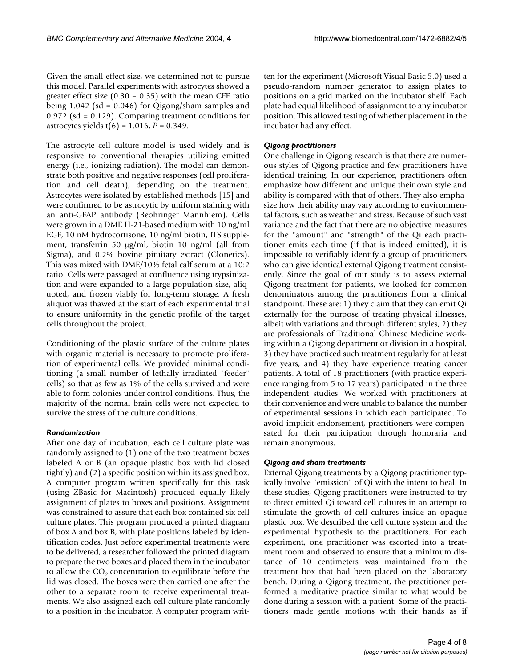Given the small effect size, we determined not to pursue this model. Parallel experiments with astrocytes showed a greater effect size (0.30 – 0.35) with the mean CFE ratio being 1.042 (sd = 0.046) for Qigong/sham samples and 0.972 (sd = 0.129). Comparing treatment conditions for astrocytes yields t(6) = 1.016, *P* = 0.349.

The astrocyte cell culture model is used widely and is responsive to conventional therapies utilizing emitted energy (i.e., ionizing radiation). The model can demonstrate both positive and negative responses (cell proliferation and cell death), depending on the treatment. Astrocytes were isolated by established methods [15] and were confirmed to be astrocytic by uniform staining with an anti-GFAP antibody (Beohringer Mannhiem). Cells were grown in a DME H-21-based medium with 10 ng/ml EGF, 10 nM hydrocortisone, 10 ng/ml biotin, ITS supplement, transferrin 50 µg/ml, biotin 10 ng/ml (all from Sigma), and 0.2% bovine pituitary extract (Clonetics). This was mixed with DME/10% fetal calf serum at a 10:2 ratio. Cells were passaged at confluence using trypsinization and were expanded to a large population size, aliquoted, and frozen viably for long-term storage. A fresh aliquot was thawed at the start of each experimental trial to ensure uniformity in the genetic profile of the target cells throughout the project.

Conditioning of the plastic surface of the culture plates with organic material is necessary to promote proliferation of experimental cells. We provided minimal conditioning (a small number of lethally irradiated "feeder" cells) so that as few as 1% of the cells survived and were able to form colonies under control conditions. Thus, the majority of the normal brain cells were not expected to survive the stress of the culture conditions.

# *Randomization*

After one day of incubation, each cell culture plate was randomly assigned to (1) one of the two treatment boxes labeled A or B (an opaque plastic box with lid closed tightly) and (2) a specific position within its assigned box. A computer program written specifically for this task (using ZBasic for Macintosh) produced equally likely assignment of plates to boxes and positions. Assignment was constrained to assure that each box contained six cell culture plates. This program produced a printed diagram of box A and box B, with plate positions labeled by identification codes. Just before experimental treatments were to be delivered, a researcher followed the printed diagram to prepare the two boxes and placed them in the incubator to allow the  $CO<sub>2</sub>$  concentration to equilibrate before the lid was closed. The boxes were then carried one after the other to a separate room to receive experimental treatments. We also assigned each cell culture plate randomly to a position in the incubator. A computer program written for the experiment (Microsoft Visual Basic 5.0) used a pseudo-random number generator to assign plates to positions on a grid marked on the incubator shelf. Each plate had equal likelihood of assignment to any incubator position. This allowed testing of whether placement in the incubator had any effect.

# *Qigong practitioners*

One challenge in Qigong research is that there are numerous styles of Qigong practice and few practitioners have identical training. In our experience, practitioners often emphasize how different and unique their own style and ability is compared with that of others. They also emphasize how their ability may vary according to environmental factors, such as weather and stress. Because of such vast variance and the fact that there are no objective measures for the "amount" and "strength" of the Qi each practitioner emits each time (if that is indeed emitted), it is impossible to verifiably identify a group of practitioners who can give identical external Qigong treatment consistently. Since the goal of our study is to assess external Qigong treatment for patients, we looked for common denominators among the practitioners from a clinical standpoint. These are: 1) they claim that they can emit Qi externally for the purpose of treating physical illnesses, albeit with variations and through different styles, 2) they are professionals of Traditional Chinese Medicine working within a Qigong department or division in a hospital, 3) they have practiced such treatment regularly for at least five years, and 4) they have experience treating cancer patients. A total of 18 practitioners (with practice experience ranging from 5 to 17 years) participated in the three independent studies. We worked with practitioners at their convenience and were unable to balance the number of experimental sessions in which each participated. To avoid implicit endorsement, practitioners were compensated for their participation through honoraria and remain anonymous.

# *Qigong and sham treatments*

External Qigong treatments by a Qigong practitioner typically involve "emission" of Qi with the intent to heal. In these studies, Qigong practitioners were instructed to try to direct emitted Qi toward cell cultures in an attempt to stimulate the growth of cell cultures inside an opaque plastic box. We described the cell culture system and the experimental hypothesis to the practitioners. For each experiment, one practitioner was escorted into a treatment room and observed to ensure that a minimum distance of 10 centimeters was maintained from the treatment box that had been placed on the laboratory bench. During a Qigong treatment, the practitioner performed a meditative practice similar to what would be done during a session with a patient. Some of the practitioners made gentle motions with their hands as if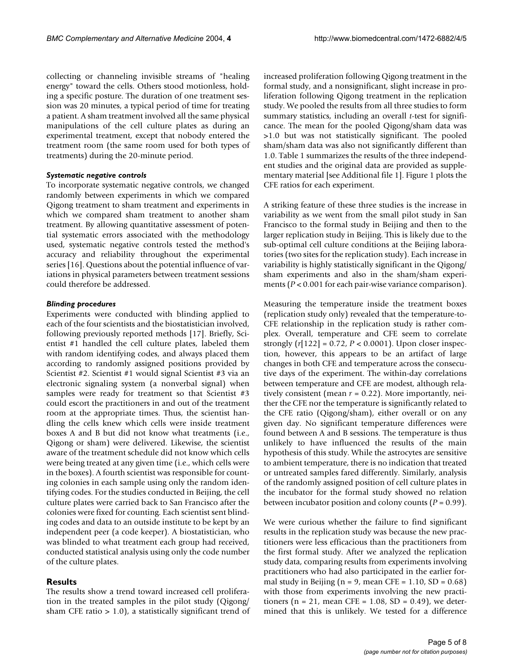collecting or channeling invisible streams of "healing energy" toward the cells. Others stood motionless, holding a specific posture. The duration of one treatment session was 20 minutes, a typical period of time for treating a patient. A sham treatment involved all the same physical manipulations of the cell culture plates as during an experimental treatment, except that nobody entered the treatment room (the same room used for both types of treatments) during the 20-minute period.

#### *Systematic negative controls*

To incorporate systematic negative controls, we changed randomly between experiments in which we compared Qigong treatment to sham treatment and experiments in which we compared sham treatment to another sham treatment. By allowing quantitative assessment of potential systematic errors associated with the methodology used, systematic negative controls tested the method's accuracy and reliability throughout the experimental series [16]. Questions about the potential influence of variations in physical parameters between treatment sessions could therefore be addressed.

#### *Blinding procedures*

Experiments were conducted with blinding applied to each of the four scientists and the biostatistician involved, following previously reported methods [17]. Briefly, Scientist #1 handled the cell culture plates, labeled them with random identifying codes, and always placed them according to randomly assigned positions provided by Scientist #2. Scientist #1 would signal Scientist #3 via an electronic signaling system (a nonverbal signal) when samples were ready for treatment so that Scientist #3 could escort the practitioners in and out of the treatment room at the appropriate times. Thus, the scientist handling the cells knew which cells were inside treatment boxes A and B but did not know what treatments (i.e., Qigong or sham) were delivered. Likewise, the scientist aware of the treatment schedule did not know which cells were being treated at any given time (i.e., which cells were in the boxes). A fourth scientist was responsible for counting colonies in each sample using only the random identifying codes. For the studies conducted in Beijing, the cell culture plates were carried back to San Francisco after the colonies were fixed for counting. Each scientist sent blinding codes and data to an outside institute to be kept by an independent peer (a code keeper). A biostatistician, who was blinded to what treatment each group had received, conducted statistical analysis using only the code number of the culture plates.

#### **Results**

The results show a trend toward increased cell proliferation in the treated samples in the pilot study (Qigong/ sham CFE ratio > 1.0), a statistically significant trend of increased proliferation following Qigong treatment in the formal study, and a nonsignificant, slight increase in proliferation following Qigong treatment in the replication study. We pooled the results from all three studies to form summary statistics, including an overall *t*-test for significance. The mean for the pooled Qigong/sham data was >1.0 but was not statistically significant. The pooled sham/sham data was also not significantly different than 1.0. Table [1](#page-6-0) summarizes the results of the three independent studies and the original data are provided as supplementary material [see Additional file 1]. Figure [1](#page-5-0) plots the CFE ratios for each experiment.

A striking feature of these three studies is the increase in variability as we went from the small pilot study in San Francisco to the formal study in Beijing and then to the larger replication study in Beijing. This is likely due to the sub-optimal cell culture conditions at the Beijing laboratories (two sites for the replication study). Each increase in variability is highly statistically significant in the Qigong/ sham experiments and also in the sham/sham experiments (*P* < 0.001 for each pair-wise variance comparison).

Measuring the temperature inside the treatment boxes (replication study only) revealed that the temperature-to-CFE relationship in the replication study is rather complex. Overall, temperature and CFE seem to correlate strongly (*r*[122] = 0.72, *P* < 0.0001). Upon closer inspection, however, this appears to be an artifact of large changes in both CFE and temperature across the consecutive days of the experiment. The within-day correlations between temperature and CFE are modest, although relatively consistent (mean  $r = 0.22$ ). More importantly, neither the CFE nor the temperature is significantly related to the CFE ratio (Qigong/sham), either overall or on any given day. No significant temperature differences were found between A and B sessions. The temperature is thus unlikely to have influenced the results of the main hypothesis of this study. While the astrocytes are sensitive to ambient temperature, there is no indication that treated or untreated samples fared differently. Similarly, analysis of the randomly assigned position of cell culture plates in the incubator for the formal study showed no relation between incubator position and colony counts (*P* = 0.99).

We were curious whether the failure to find significant results in the replication study was because the new practitioners were less efficacious than the practitioners from the first formal study. After we analyzed the replication study data, comparing results from experiments involving practitioners who had also participated in the earlier formal study in Beijing ( $n = 9$ , mean CFE = 1.10, SD = 0.68) with those from experiments involving the new practitioners ( $n = 21$ , mean CFE = 1.08, SD = 0.49), we determined that this is unlikely. We tested for a difference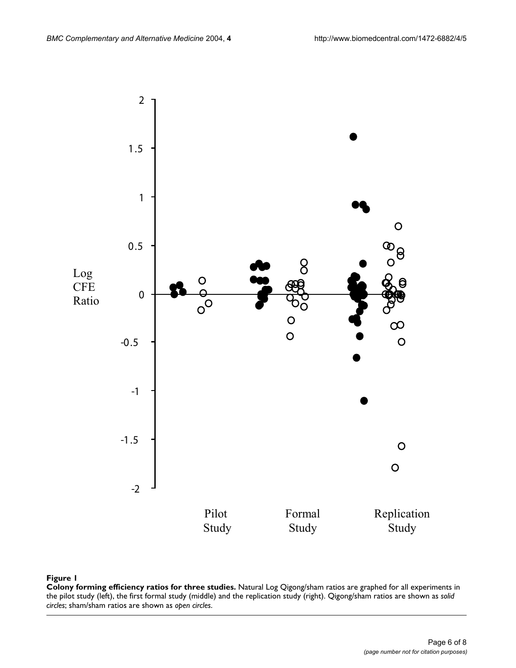<span id="page-5-0"></span>

# Figure 1

**Colony forming efficiency ratios for three studies.** Natural Log Qigong/sham ratios are graphed for all experiments in the pilot study (left), the first formal study (middle) and the replication study (right). Qigong/sham ratios are shown as *solid circles*; sham/sham ratios are shown as *open circles*.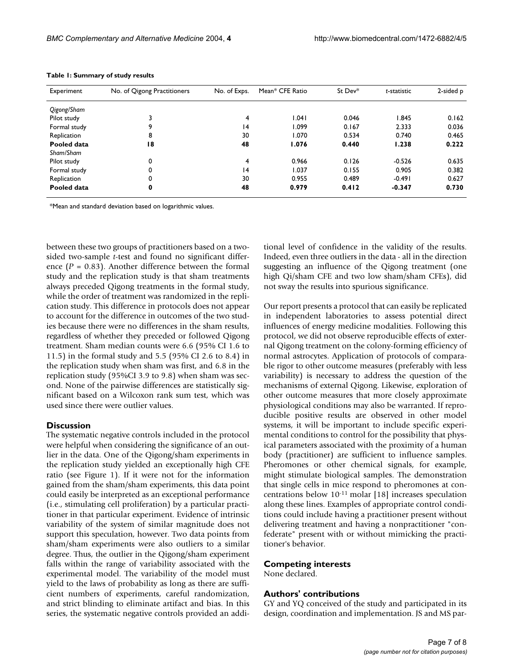| Experiment   | No. of Qigong Practitioners | No. of Exps. | Mean* CFE Ratio | St Dev* | t-statistic | 2-sided p |
|--------------|-----------------------------|--------------|-----------------|---------|-------------|-----------|
| Qigong/Sham  |                             |              |                 |         |             |           |
| Pilot study  |                             | 4            | 1.041           | 0.046   | 1.845       | 0.162     |
| Formal study | 9                           | 4            | 1.099           | 0.167   | 2.333       | 0.036     |
| Replication  | 8                           | 30           | 1.070           | 0.534   | 0.740       | 0.465     |
| Pooled data  | 18                          | 48           | 1.076           | 0.440   | 1.238       | 0.222     |
| Sham/Sham    |                             |              |                 |         |             |           |
| Pilot study  | 0                           | 4            | 0.966           | 0.126   | $-0.526$    | 0.635     |
| Formal study | 0                           | 4            | 1.037           | 0.155   | 0.905       | 0.382     |
| Replication  | 0                           | 30           | 0.955           | 0.489   | $-0.491$    | 0.627     |
| Pooled data  | 0                           | 48           | 0.979           | 0.412   | $-0.347$    | 0.730     |

#### <span id="page-6-0"></span>**Table 1: Summary of study results**

\*Mean and standard deviation based on logarithmic values.

between these two groups of practitioners based on a twosided two-sample *t*-test and found no significant difference  $(P = 0.83)$ . Another difference between the formal study and the replication study is that sham treatments always preceded Qigong treatments in the formal study, while the order of treatment was randomized in the replication study. This difference in protocols does not appear to account for the difference in outcomes of the two studies because there were no differences in the sham results, regardless of whether they preceded or followed Qigong treatment. Sham median counts were 6.6 (95% CI 1.6 to 11.5) in the formal study and 5.5 (95% CI 2.6 to 8.4) in the replication study when sham was first, and 6.8 in the replication study (95%CI 3.9 to 9.8) when sham was second. None of the pairwise differences are statistically significant based on a Wilcoxon rank sum test, which was used since there were outlier values.

#### **Discussion**

The systematic negative controls included in the protocol were helpful when considering the significance of an outlier in the data. One of the Qigong/sham experiments in the replication study yielded an exceptionally high CFE ratio (see Figure [1](#page-5-0)). If it were not for the information gained from the sham/sham experiments, this data point could easily be interpreted as an exceptional performance (i.e., stimulating cell proliferation) by a particular practitioner in that particular experiment. Evidence of intrinsic variability of the system of similar magnitude does not support this speculation, however. Two data points from sham/sham experiments were also outliers to a similar degree. Thus, the outlier in the Qigong/sham experiment falls within the range of variability associated with the experimental model. The variability of the model must yield to the laws of probability as long as there are sufficient numbers of experiments, careful randomization, and strict blinding to eliminate artifact and bias. In this series, the systematic negative controls provided an additional level of confidence in the validity of the results. Indeed, even three outliers in the data - all in the direction suggesting an influence of the Qigong treatment (one high Qi/sham CFE and two low sham/sham CFEs), did not sway the results into spurious significance.

Our report presents a protocol that can easily be replicated in independent laboratories to assess potential direct influences of energy medicine modalities. Following this protocol, we did not observe reproducible effects of external Qigong treatment on the colony-forming efficiency of normal astrocytes. Application of protocols of comparable rigor to other outcome measures (preferably with less variability) is necessary to address the question of the mechanisms of external Qigong. Likewise, exploration of other outcome measures that more closely approximate physiological conditions may also be warranted. If reproducible positive results are observed in other model systems, it will be important to include specific experimental conditions to control for the possibility that physical parameters associated with the proximity of a human body (practitioner) are sufficient to influence samples. Pheromones or other chemical signals, for example, might stimulate biological samples. The demonstration that single cells in mice respond to pheromones at concentrations below 10-11 molar [18] increases speculation along these lines. Examples of appropriate control conditions could include having a practitioner present without delivering treatment and having a nonpractitioner "confederate" present with or without mimicking the practitioner's behavior.

### **Competing interests**

None declared.

### **Authors' contributions**

GY and YQ conceived of the study and participated in its design, coordination and implementation. JS and MS par